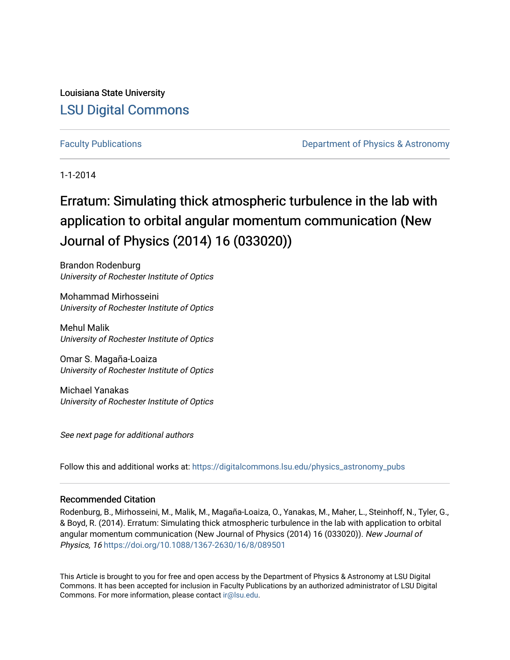Louisiana State University [LSU Digital Commons](https://digitalcommons.lsu.edu/)

[Faculty Publications](https://digitalcommons.lsu.edu/physics_astronomy_pubs) **Example 2** Constant Department of Physics & Astronomy

1-1-2014

## Erratum: Simulating thick atmospheric turbulence in the lab with application to orbital angular momentum communication (New Journal of Physics (2014) 16 (033020))

Brandon Rodenburg University of Rochester Institute of Optics

Mohammad Mirhosseini University of Rochester Institute of Optics

Mehul Malik University of Rochester Institute of Optics

Omar S. Magaña-Loaiza University of Rochester Institute of Optics

Michael Yanakas University of Rochester Institute of Optics

See next page for additional authors

Follow this and additional works at: [https://digitalcommons.lsu.edu/physics\\_astronomy\\_pubs](https://digitalcommons.lsu.edu/physics_astronomy_pubs?utm_source=digitalcommons.lsu.edu%2Fphysics_astronomy_pubs%2F3020&utm_medium=PDF&utm_campaign=PDFCoverPages) 

#### Recommended Citation

Rodenburg, B., Mirhosseini, M., Malik, M., Magaña-Loaiza, O., Yanakas, M., Maher, L., Steinhoff, N., Tyler, G., & Boyd, R. (2014). Erratum: Simulating thick atmospheric turbulence in the lab with application to orbital angular momentum communication (New Journal of Physics (2014) 16 (033020)). New Journal of Physics, 16 <https://doi.org/10.1088/1367-2630/16/8/089501>

This Article is brought to you for free and open access by the Department of Physics & Astronomy at LSU Digital Commons. It has been accepted for inclusion in Faculty Publications by an authorized administrator of LSU Digital Commons. For more information, please contact [ir@lsu.edu](mailto:ir@lsu.edu).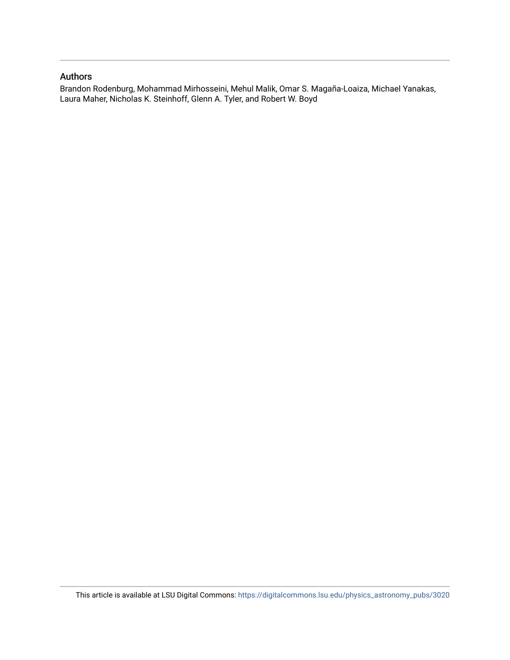#### Authors

Brandon Rodenburg, Mohammad Mirhosseini, Mehul Malik, Omar S. Magaña-Loaiza, Michael Yanakas, Laura Maher, Nicholas K. Steinhoff, Glenn A. Tyler, and Robert W. Boyd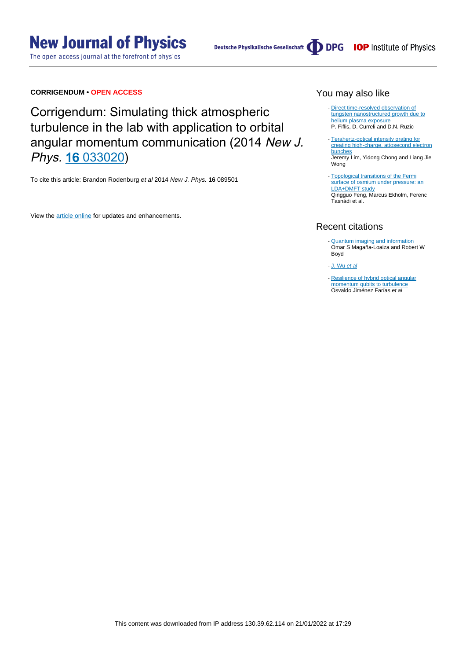The open access journal at the forefront of physics

#### **CORRIGENDUM • OPEN ACCESS**

Corrigendum: Simulating thick atmospheric turbulence in the lab with application to orbital angular momentum communication (2014 New J. Phys. 16 [033020](http://dx.doi.org/10.1088/1367-2630/16/3/033020))

To cite this article: Brandon Rodenburg et al 2014 New J. Phys. **16** 089501

View the [article online](https://doi.org/10.1088/1367-2630/16/8/089501) for updates and enhancements.

#### You may also like

- [Direct time-resolved observation of](https://iopscience.iop.org/article/10.1088/0029-5515/55/3/033020) [tungsten nanostructured growth due to](https://iopscience.iop.org/article/10.1088/0029-5515/55/3/033020) [helium plasma exposure](https://iopscience.iop.org/article/10.1088/0029-5515/55/3/033020) P. Fiflis, D. Curreli and D.N. Ruzic
- [Terahertz-optical intensity grating for](https://iopscience.iop.org/article/10.1088/1367-2630/ab0aa7) [creating high-charge, attosecond electron](https://iopscience.iop.org/article/10.1088/1367-2630/ab0aa7) [bunches](https://iopscience.iop.org/article/10.1088/1367-2630/ab0aa7) Jeremy Lim, Yidong Chong and Liang Jie Wong
- [Topological transitions of the Fermi](https://iopscience.iop.org/article/10.1088/1367-2630/aa5f8e) [surface of osmium under pressure: an](https://iopscience.iop.org/article/10.1088/1367-2630/aa5f8e) [LDA+DMFT study](https://iopscience.iop.org/article/10.1088/1367-2630/aa5f8e) Qingguo Feng, Marcus Ekholm, Ferenc Tasnádi et al.

### Recent citations

- [Quantum imaging and information](http://iopscience.iop.org/0034-4885/82/12/124401) Omar S Magaña-Loaiza and Robert W Boyd -
- [J. Wu](https://doi.org/10.1109/ICOCN.2015.7203599) [e](https://doi.org/10.1109/ICOCN.2015.7203599)t al
- [Resilience of hybrid optical angular](https://doi.org/10.1038/srep08424) [momentum qubits to turbulence](https://doi.org/10.1038/srep08424) Osvaldo Jiménez Farías et al